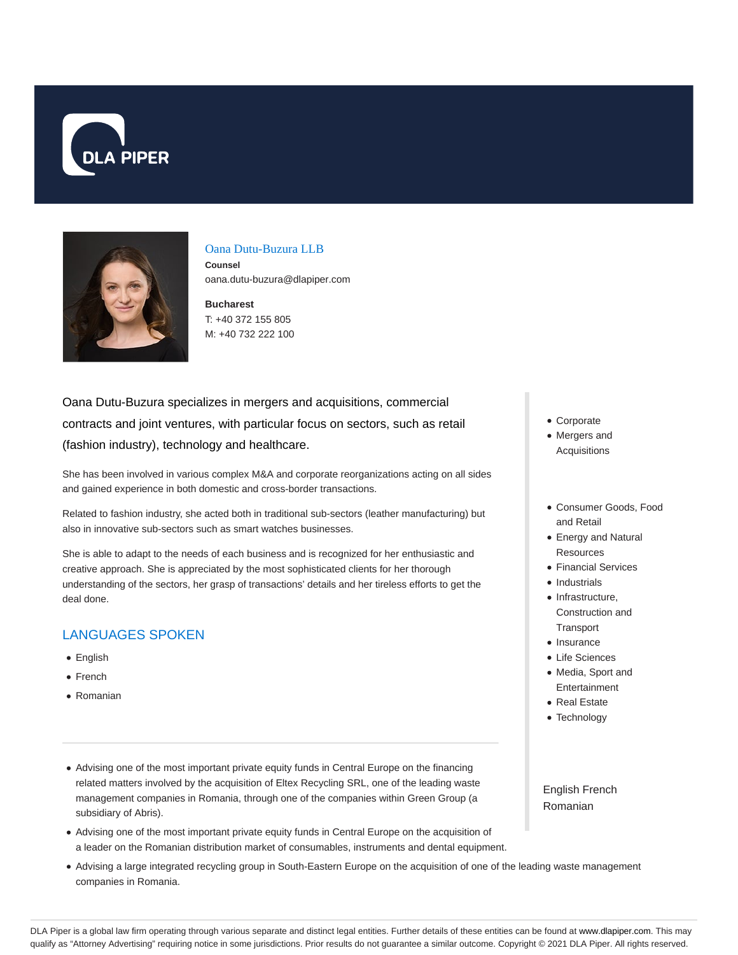



#### Oana Dutu-Buzura LLB

**Counsel** oana.dutu-buzura@dlapiper.com

**Bucharest** T: +40 372 155 805 M: +40 732 222 100

# Oana Dutu-Buzura specializes in mergers and acquisitions, commercial contracts and joint ventures, with particular focus on sectors, such as retail (fashion industry), technology and healthcare.

She has been involved in various complex M&A and corporate reorganizations acting on all sides and gained experience in both domestic and cross-border transactions.

Related to fashion industry, she acted both in traditional sub-sectors (leather manufacturing) but also in innovative sub-sectors such as smart watches businesses.

She is able to adapt to the needs of each business and is recognized for her enthusiastic and creative approach. She is appreciated by the most sophisticated clients for her thorough understanding of the sectors, her grasp of transactions' details and her tireless efforts to get the deal done.

## LANGUAGES SPOKEN

- English
- French
- Romanian
- Advising one of the most important private equity funds in Central Europe on the financing related matters involved by the acquisition of Eltex Recycling SRL, one of the leading waste management companies in Romania, through one of the companies within Green Group (a subsidiary of Abris).
- Advising one of the most important private equity funds in Central Europe on the acquisition of a leader on the Romanian distribution market of consumables, instruments and dental equipment.
- Advising a large integrated recycling group in South-Eastern Europe on the acquisition of one of the leading waste management companies in Romania.
- Corporate
- Mergers and Acquisitions
- Consumer Goods, Food and Retail
- Energy and Natural **Resources**
- Financial Services
- Industrials
- Infrastructure, Construction and **Transport**
- Insurance
- Life Sciences
- Media, Sport and **Entertainment**
- Real Estate
- Technology

English French Romanian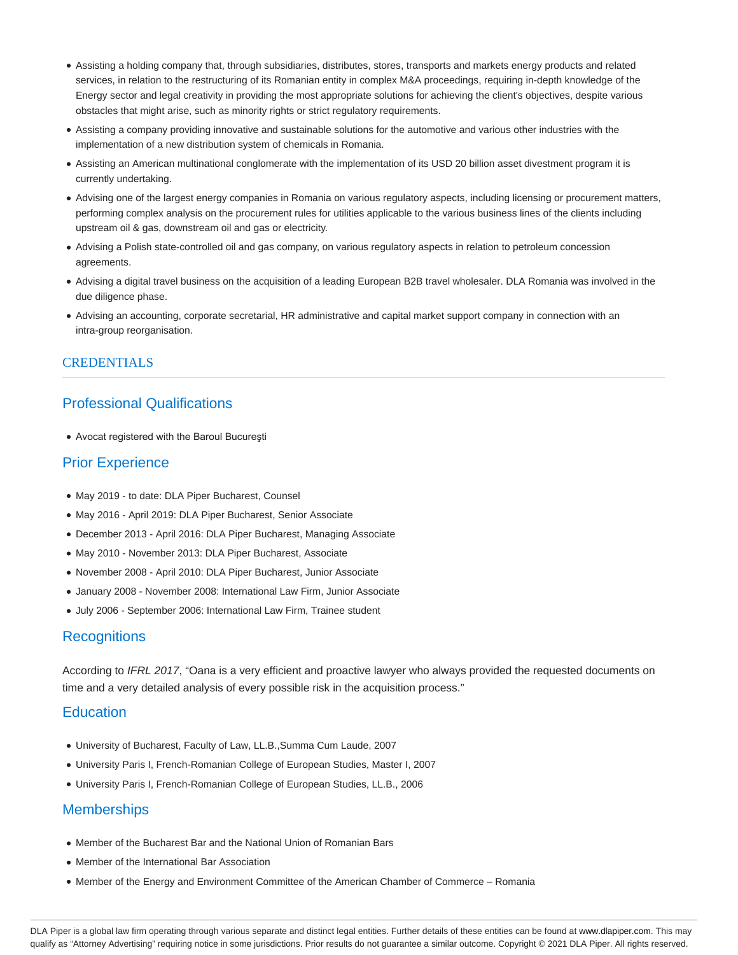- Assisting a holding company that, through subsidiaries, distributes, stores, transports and markets energy products and related services, in relation to the restructuring of its Romanian entity in complex M&A proceedings, requiring in-depth knowledge of the Energy sector and legal creativity in providing the most appropriate solutions for achieving the client's objectives, despite various obstacles that might arise, such as minority rights or strict regulatory requirements.
- Assisting a company providing innovative and sustainable solutions for the automotive and various other industries with the implementation of a new distribution system of chemicals in Romania.
- Assisting an American multinational conglomerate with the implementation of its USD 20 billion asset divestment program it is currently undertaking.
- Advising one of the largest energy companies in Romania on various regulatory aspects, including licensing or procurement matters, performing complex analysis on the procurement rules for utilities applicable to the various business lines of the clients including upstream oil & gas, downstream oil and gas or electricity.
- Advising a Polish state-controlled oil and gas company, on various regulatory aspects in relation to petroleum concession agreements.
- Advising a digital travel business on the acquisition of a leading European B2B travel wholesaler. DLA Romania was involved in the due diligence phase.
- Advising an accounting, corporate secretarial, HR administrative and capital market support company in connection with an intra-group reorganisation.

#### CREDENTIALS

## Professional Qualifications

Avocat registered with the Baroul Bucureşti

### Prior Experience

- May 2019 to date: DLA Piper Bucharest, Counsel
- May 2016 April 2019: DLA Piper Bucharest, Senior Associate
- December 2013 April 2016: DLA Piper Bucharest, Managing Associate
- May 2010 November 2013: DLA Piper Bucharest, Associate
- November 2008 April 2010: DLA Piper Bucharest, Junior Associate
- January 2008 November 2008: International Law Firm, Junior Associate
- July 2006 September 2006: International Law Firm, Trainee student

#### **Recognitions**

According to IFRL 2017, "Oana is a very efficient and proactive lawyer who always provided the requested documents on time and a very detailed analysis of every possible risk in the acquisition process."

#### **Education**

- University of Bucharest, Faculty of Law, LL.B.,Summa Cum Laude, 2007
- University Paris I, French-Romanian College of European Studies, Master I, 2007
- University Paris I, French-Romanian College of European Studies, LL.B., 2006

## **Memberships**

- Member of the Bucharest Bar and the National Union of Romanian Bars
- Member of the International Bar Association
- Member of the Energy and Environment Committee of the American Chamber of Commerce Romania